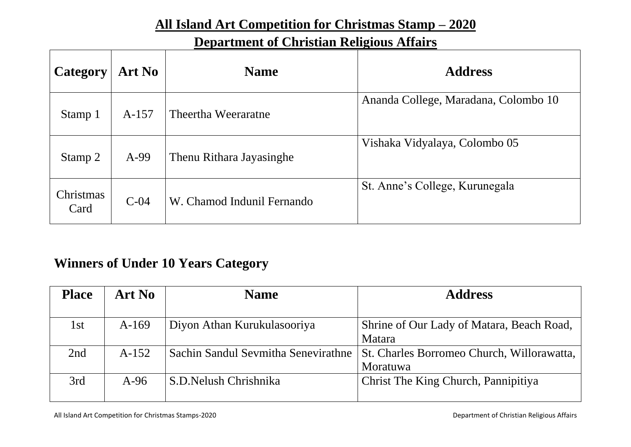### **All Island Art Competition for Christmas Stamp – 2020**

### **Department of Christian Religious Affairs**

| Category          | <b>Art No</b> | <b>Name</b>                | <b>Address</b>                       |
|-------------------|---------------|----------------------------|--------------------------------------|
| Stamp 1           | $A-157$       | Theertha Weeraratne        | Ananda College, Maradana, Colombo 10 |
| Stamp 2           | $A-99$        | Thenu Rithara Jayasinghe   | Vishaka Vidyalaya, Colombo 05        |
| Christmas<br>Card | $C-04$        | W. Chamod Indunil Fernando | St. Anne's College, Kurunegala       |

## **Winners of Under 10 Years Category**

| <b>Place</b> | <b>Art No</b> | <b>Name</b>                         | <b>Address</b>                             |
|--------------|---------------|-------------------------------------|--------------------------------------------|
|              |               |                                     |                                            |
| 1st          | $A-169$       | Diyon Athan Kurukulasooriya         | Shrine of Our Lady of Matara, Beach Road,  |
|              |               |                                     | Matara                                     |
| 2nd          | $A-152$       | Sachin Sandul Sevmitha Senevirathne | St. Charles Borromeo Church, Willorawatta, |
|              |               |                                     | Moratuwa                                   |
| 3rd          | $A-96$        | S.D. Nelush Chrishnika              | Christ The King Church, Pannipitiya        |
|              |               |                                     |                                            |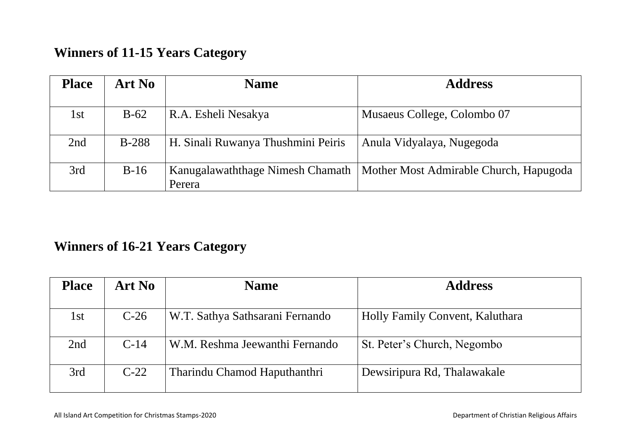## **Winners of 11-15 Years Category**

| <b>Place</b> | <b>Art No</b> | <b>Name</b>                                | <b>Address</b>                         |
|--------------|---------------|--------------------------------------------|----------------------------------------|
| 1st          | $B-62$        | R.A. Esheli Nesakya                        | Musaeus College, Colombo 07            |
| 2nd          | <b>B-288</b>  | H. Sinali Ruwanya Thushmini Peiris         | Anula Vidyalaya, Nugegoda              |
| 3rd          | $B-16$        | Kanugalawaththage Nimesh Chamath<br>Perera | Mother Most Admirable Church, Hapugoda |

## **Winners of 16-21 Years Category**

| <b>Place</b> | <b>Art No</b> | <b>Name</b>                     | <b>Address</b>                  |
|--------------|---------------|---------------------------------|---------------------------------|
|              |               |                                 |                                 |
| 1st          | $C-26$        | W.T. Sathya Sathsarani Fernando | Holly Family Convent, Kaluthara |
| 2nd          | $C-14$        | W.M. Reshma Jeewanthi Fernando  | St. Peter's Church, Negombo     |
| 3rd          | $C-22$        | Tharindu Chamod Haputhanthri    | Dewsiripura Rd, Thalawakale     |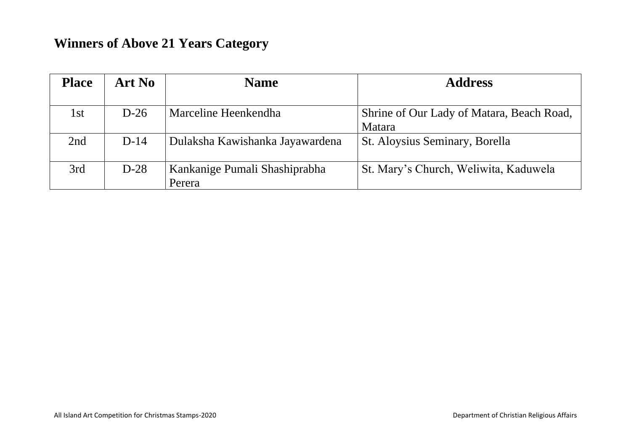## **Winners of Above 21 Years Category**

| <b>Place</b> | Art No | <b>Name</b>                     | <b>Address</b>                            |
|--------------|--------|---------------------------------|-------------------------------------------|
|              |        |                                 |                                           |
| 1st          | $D-26$ | Marceline Heenkendha            | Shrine of Our Lady of Matara, Beach Road, |
|              |        |                                 | Matara                                    |
| 2nd          | $D-14$ | Dulaksha Kawishanka Jayawardena | St. Aloysius Seminary, Borella            |
| 3rd          | $D-28$ | Kankanige Pumali Shashiprabha   | St. Mary's Church, Weliwita, Kaduwela     |
|              |        | Perera                          |                                           |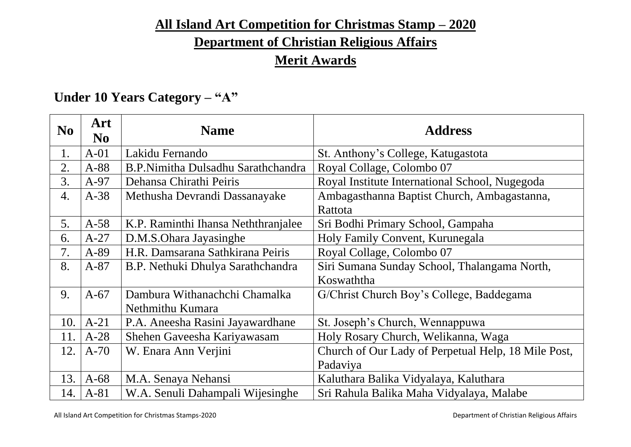### **All Island Art Competition for Christmas Stamp – 2020**

# **Department of Christian Religious Affairs**

## **Merit Awards**

## **Under 10 Years Category – "A"**

| N <sub>o</sub>   | Art<br>N <sub>0</sub> | <b>Name</b>                         | <b>Address</b>                                      |
|------------------|-----------------------|-------------------------------------|-----------------------------------------------------|
| 1.               | $A-01$                | Lakidu Fernando                     | St. Anthony's College, Katugastota                  |
| 2.               | $A-88$                | B.P.Nimitha Dulsadhu Sarathchandra  | Royal Collage, Colombo 07                           |
| 3.               | $A-97$                | Dehansa Chirathi Peiris             | Royal Institute International School, Nugegoda      |
| $\overline{4}$ . | $A-38$                | Methusha Devrandi Dassanayake       | Ambagasthanna Baptist Church, Ambagastanna,         |
|                  |                       |                                     | Rattota                                             |
| 5.               | $A-58$                | K.P. Raminthi Ihansa Neththranjalee | Sri Bodhi Primary School, Gampaha                   |
| 6.               | $A-27$                | D.M.S.Ohara Jayasinghe              | Holy Family Convent, Kurunegala                     |
| 7.               | A-89                  | H.R. Damsarana Sathkirana Peiris    | Royal Collage, Colombo 07                           |
| 8.               | $A-87$                | B.P. Nethuki Dhulya Sarathchandra   | Siri Sumana Sunday School, Thalangama North,        |
|                  |                       |                                     | Koswaththa                                          |
| 9.               | $A-67$                | Dambura Withanachchi Chamalka       | G/Christ Church Boy's College, Baddegama            |
|                  |                       | Nethmithu Kumara                    |                                                     |
| 10.              | $A-21$                | P.A. Aneesha Rasini Jayawardhane    | St. Joseph's Church, Wennappuwa                     |
| 11.              | $A-28$                | Shehen Gaveesha Kariyawasam         | Holy Rosary Church, Welikanna, Waga                 |
| 12.              | $A-70$                | W. Enara Ann Verjini                | Church of Our Lady of Perpetual Help, 18 Mile Post, |
|                  |                       |                                     | Padaviya                                            |
| 13.              | $A-68$                | M.A. Senaya Nehansi                 | Kaluthara Balika Vidyalaya, Kaluthara               |
| 14.              | $A-81$                | W.A. Senuli Dahampali Wijesinghe    | Sri Rahula Balika Maha Vidyalaya, Malabe            |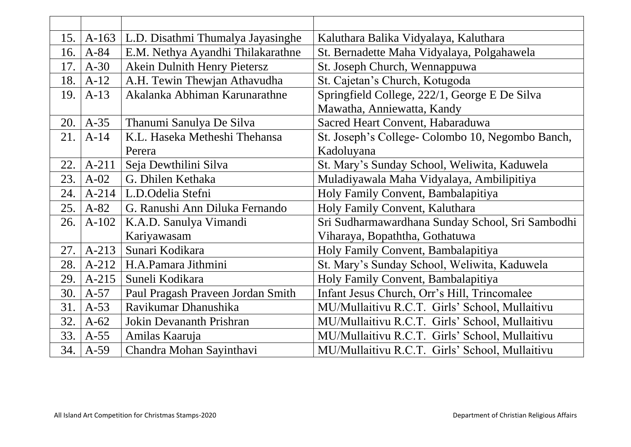| 15. | $A-163$   | L.D. Disathmi Thumalya Jayasinghe | Kaluthara Balika Vidyalaya, Kaluthara            |
|-----|-----------|-----------------------------------|--------------------------------------------------|
| 16. | $A-84$    | E.M. Nethya Ayandhi Thilakarathne | St. Bernadette Maha Vidyalaya, Polgahawela       |
| 17. | $A-30$    | Akein Dulnith Henry Pietersz      | St. Joseph Church, Wennappuwa                    |
| 18. | $A-12$    | A.H. Tewin Thewjan Athavudha      | St. Cajetan's Church, Kotugoda                   |
| 19. | $A-13$    | Akalanka Abhiman Karunarathne     | Springfield College, 222/1, George E De Silva    |
|     |           |                                   | Mawatha, Anniewatta, Kandy                       |
| 20. | $A-35$    | Thanumi Sanulya De Silva          | Sacred Heart Convent, Habaraduwa                 |
| 21. | $A-14$    | K.L. Haseka Metheshi Thehansa     | St. Joseph's College- Colombo 10, Negombo Banch, |
|     |           | Perera                            | Kadoluyana                                       |
| 22. | $A-211$   | Seja Dewthilini Silva             | St. Mary's Sunday School, Weliwita, Kaduwela     |
| 23. | $A-02$    | G. Dhilen Kethaka                 | Muladiyawala Maha Vidyalaya, Ambilipitiya        |
| 24. | $A - 214$ | L.D.Odelia Stefni                 | Holy Family Convent, Bambalapitiya               |
| 25. | $A-82$    | G. Ranushi Ann Diluka Fernando    | Holy Family Convent, Kaluthara                   |
| 26. | $A-102$   | K.A.D. Sanulya Vimandi            | Sri Sudharmawardhana Sunday School, Sri Sambodhi |
|     |           | Kariyawasam                       | Viharaya, Bopaththa, Gothatuwa                   |
| 27. | $A-213$   | Sunari Kodikara                   | Holy Family Convent, Bambalapitiya               |
| 28. | $A-212$   | H.A.Pamara Jithmini               | St. Mary's Sunday School, Weliwita, Kaduwela     |
| 29. | $A-215$   | Suneli Kodikara                   | Holy Family Convent, Bambalapitiya               |
| 30. | $A-57$    | Paul Pragash Praveen Jordan Smith | Infant Jesus Church, Orr's Hill, Trincomalee     |
| 31. | $A-53$    | Ravikumar Dhanushika              | MU/Mullaitivu R.C.T. Girls' School, Mullaitivu   |
| 32. | $A-62$    | <b>Jokin Devananth Prishran</b>   | MU/Mullaitivu R.C.T. Girls' School, Mullaitivu   |
| 33. | $A-55$    | Amilas Kaaruja                    | MU/Mullaitivu R.C.T. Girls' School, Mullaitivu   |
| 34. | $A-59$    | Chandra Mohan Sayinthavi          | MU/Mullaitivu R.C.T. Girls' School, Mullaitivu   |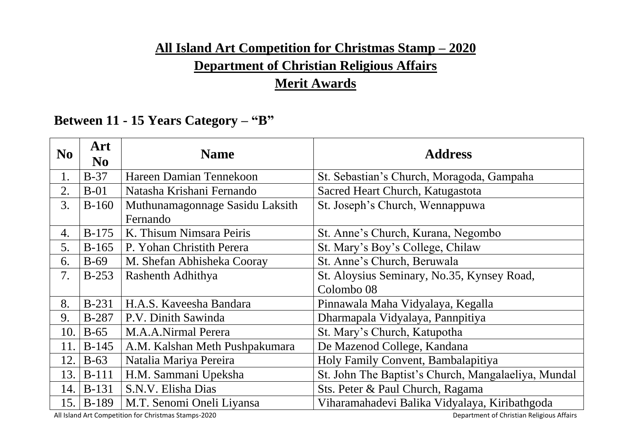## **All Island Art Competition for Christmas Stamp – 2020 Department of Christian Religious Affairs Merit Awards**

### **Between 11 - 15 Years Category – "B"**

| N <sub>0</sub> | Art<br>N <sub>0</sub> | <b>Name</b>                     | <b>Address</b>                                      |
|----------------|-----------------------|---------------------------------|-----------------------------------------------------|
| 1.             | $B-37$                | Hareen Damian Tennekoon         | St. Sebastian's Church, Moragoda, Gampaha           |
| 2.             | $B-01$                | Natasha Krishani Fernando       | Sacred Heart Church, Katugastota                    |
| 3.             | $B-160$               | Muthunamagonnage Sasidu Laksith | St. Joseph's Church, Wennappuwa                     |
|                |                       | Fernando                        |                                                     |
| 4.             | $B-175$               | K. Thisum Nimsara Peiris        | St. Anne's Church, Kurana, Negombo                  |
| 5.             | $B-165$               | P. Yohan Christith Perera       | St. Mary's Boy's College, Chilaw                    |
| 6.             | $B-69$                | M. Shefan Abhisheka Cooray      | St. Anne's Church, Beruwala                         |
| 7.             | $B-253$               | Rashenth Adhithya               | St. Aloysius Seminary, No.35, Kynsey Road,          |
|                |                       |                                 | Colombo <sub>08</sub>                               |
| 8.             | <b>B-231</b>          | H.A.S. Kaveesha Bandara         | Pinnawala Maha Vidyalaya, Kegalla                   |
| 9.             | <b>B-287</b>          | P.V. Dinith Sawinda             | Dharmapala Vidyalaya, Pannpitiya                    |
| 10.            | $B-65$                | M.A.A.Nirmal Perera             | St. Mary's Church, Katupotha                        |
| 11.            | $B-145$               | A.M. Kalshan Meth Pushpakumara  | De Mazenod College, Kandana                         |
| 12.            | $B-63$                | Natalia Mariya Pereira          | Holy Family Convent, Bambalapitiya                  |
| 13.            | $B-111$               | H.M. Sammani Upeksha            | St. John The Baptist's Church, Mangalaeliya, Mundal |
| 14.            | <b>B-131</b>          | S.N.V. Elisha Dias              | Sts. Peter & Paul Church, Ragama                    |
| 15.            | <b>B-189</b>          | M.T. Senomi Oneli Liyansa       | Viharamahadevi Balika Vidyalaya, Kiribathgoda       |

All Island Art Competition for Christmas Stamps-2020 **Department of Christian Religious Affairs**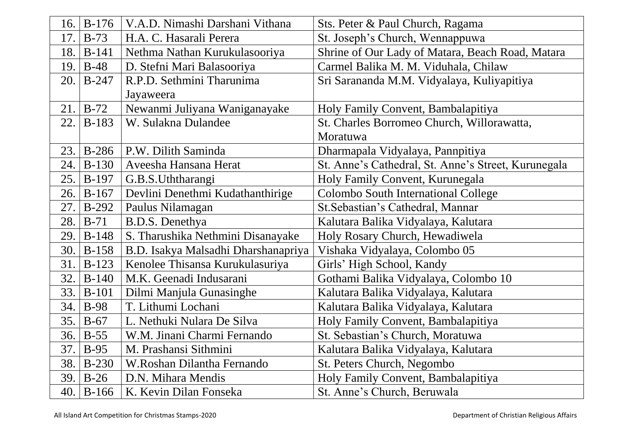| 16. | $B-176$      | V.A.D. Nimashi Darshani Vithana     | Sts. Peter & Paul Church, Ragama                    |
|-----|--------------|-------------------------------------|-----------------------------------------------------|
| 17. | $B-73$       | H.A. C. Hasarali Perera             | St. Joseph's Church, Wennappuwa                     |
| 18. | $B-141$      | Nethma Nathan Kurukulasooriya       | Shrine of Our Lady of Matara, Beach Road, Matara    |
| 19. | $B-48$       | D. Stefni Mari Balasooriya          | Carmel Balika M. M. Viduhala, Chilaw                |
| 20. | $B-247$      | R.P.D. Sethmini Tharunima           | Sri Sarananda M.M. Vidyalaya, Kuliyapitiya          |
|     |              | Jayaweera                           |                                                     |
| 21. | $B-72$       | Newanmi Juliyana Waniganayake       | Holy Family Convent, Bambalapitiya                  |
| 22. | <b>B-183</b> | W. Sulakna Dulandee                 | St. Charles Borromeo Church, Willorawatta,          |
|     |              |                                     | Moratuwa                                            |
| 23. | <b>B-286</b> | P.W. Dilith Saminda                 | Dharmapala Vidyalaya, Pannpitiya                    |
| 24. | $B-130$      | Aveesha Hansana Herat               | St. Anne's Cathedral, St. Anne's Street, Kurunegala |
| 25. | <b>B-197</b> | G.B.S.Uththarangi                   | Holy Family Convent, Kurunegala                     |
| 26. | $B-167$      | Devlini Denethmi Kudathanthirige    | Colombo South International College                 |
| 27. | $B-292$      | Paulus Nilamagan                    | St. Sebastian's Cathedral, Mannar                   |
| 28. | $B-71$       | B.D.S. Denethya                     | Kalutara Balika Vidyalaya, Kalutara                 |
| 29. | $B-148$      | S. Tharushika Nethmini Disanayake   | Holy Rosary Church, Hewadiwela                      |
| 30. | <b>B-158</b> | B.D. Isakya Malsadhi Dharshanapriya | Vishaka Vidyalaya, Colombo 05                       |
| 31. | $B-123$      | Kenolee Thisansa Kurukulasuriya     | Girls' High School, Kandy                           |
| 32. | $B-140$      | M.K. Geenadi Indusarani             | Gothami Balika Vidyalaya, Colombo 10                |
| 33. | $B-101$      | Dilmi Manjula Gunasinghe            | Kalutara Balika Vidyalaya, Kalutara                 |
| 34. | <b>B-98</b>  | T. Lithumi Lochani                  | Kalutara Balika Vidyalaya, Kalutara                 |
| 35. | $B-67$       | L. Nethuki Nulara De Silva          | Holy Family Convent, Bambalapitiya                  |
| 36. | $B-55$       | W.M. Jinani Charmi Fernando         | St. Sebastian's Church, Moratuwa                    |
| 37. | $B-95$       | M. Prashansi Sithmini               | Kalutara Balika Vidyalaya, Kalutara                 |
| 38. | $B-230$      | W.Roshan Dilantha Fernando          | St. Peters Church, Negombo                          |
| 39. | $B-26$       | D.N. Mihara Mendis                  | Holy Family Convent, Bambalapitiya                  |
|     | 40. $B-166$  | K. Kevin Dilan Fonseka              | St. Anne's Church, Beruwala                         |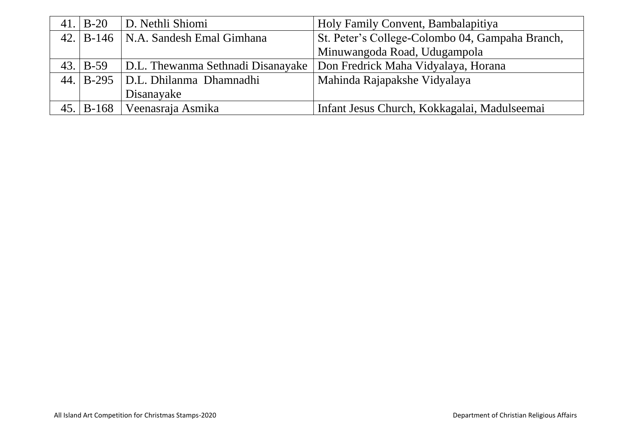| $41.$ B-20           | D. Nethli Shiomi                      | Holy Family Convent, Bambalapitiya                                      |
|----------------------|---------------------------------------|-------------------------------------------------------------------------|
|                      | 42. B-146   N.A. Sandesh Emal Gimhana | St. Peter's College-Colombo 04, Gampaha Branch,                         |
|                      |                                       | Minuwangoda Road, Udugampola                                            |
| $43. \mid B-59 \mid$ |                                       | D.L. Thewanma Sethnadi Disanayake   Don Fredrick Maha Vidyalaya, Horana |
|                      | 44. B-295   D.L. Dhilanma Dhamnadhi   | Mahinda Rajapakshe Vidyalaya                                            |
|                      | Disanayake                            |                                                                         |
|                      | 45.   B-168   Veenasraja Asmika       | Infant Jesus Church, Kokkagalai, Madulseemai                            |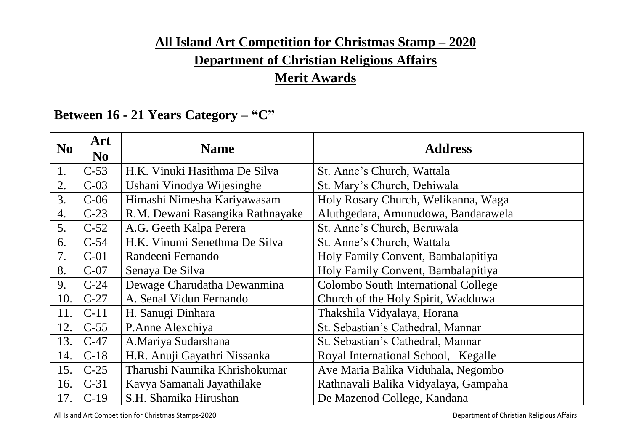## **All Island Art Competition for Christmas Stamp – 2020 Department of Christian Religious Affairs Merit Awards**

## **Between 16 - 21 Years Category – "C"**

| N <sub>0</sub> | Art<br>N <sub>0</sub> | <b>Name</b>                      | <b>Address</b>                       |
|----------------|-----------------------|----------------------------------|--------------------------------------|
| 1.             | $C-53$                | H.K. Vinuki Hasithma De Silva    | St. Anne's Church, Wattala           |
| 2.             | $C-03$                | Ushani Vinodya Wijesinghe        | St. Mary's Church, Dehiwala          |
| 3.             | $C-06$                | Himashi Nimesha Kariyawasam      | Holy Rosary Church, Welikanna, Waga  |
| 4.             | $C-23$                | R.M. Dewani Rasangika Rathnayake | Aluthgedara, Amunudowa, Bandarawela  |
| 5.             | $C-52$                | A.G. Geeth Kalpa Perera          | St. Anne's Church, Beruwala          |
| 6.             | $C-54$                | H.K. Vinumi Senethma De Silva    | St. Anne's Church, Wattala           |
| 7.             | $C-01$                | Randeeni Fernando                | Holy Family Convent, Bambalapitiya   |
| 8.             | $C-07$                | Senaya De Silva                  | Holy Family Convent, Bambalapitiya   |
| 9.             | $C-24$                | Dewage Charudatha Dewanmina      | Colombo South International College  |
| 10.            | $C-27$                | A. Senal Vidun Fernando          | Church of the Holy Spirit, Wadduwa   |
| 11.            | $C-11$                | H. Sanugi Dinhara                | Thakshila Vidyalaya, Horana          |
| 12.            | $C-55$                | P.Anne Alexchiya                 | St. Sebastian's Cathedral, Mannar    |
| 13.            | $C-47$                | A.Mariya Sudarshana              | St. Sebastian's Cathedral, Mannar    |
| 14.            | $C-18$                | H.R. Anuji Gayathri Nissanka     | Royal International School, Kegalle  |
| 15.            | $C-25$                | Tharushi Naumika Khrishokumar    | Ave Maria Balika Viduhala, Negombo   |
| 16.            | $C-31$                | Kavya Samanali Jayathilake       | Rathnavali Balika Vidyalaya, Gampaha |
| 17.            | $C-19$                | S.H. Shamika Hirushan            | De Mazenod College, Kandana          |